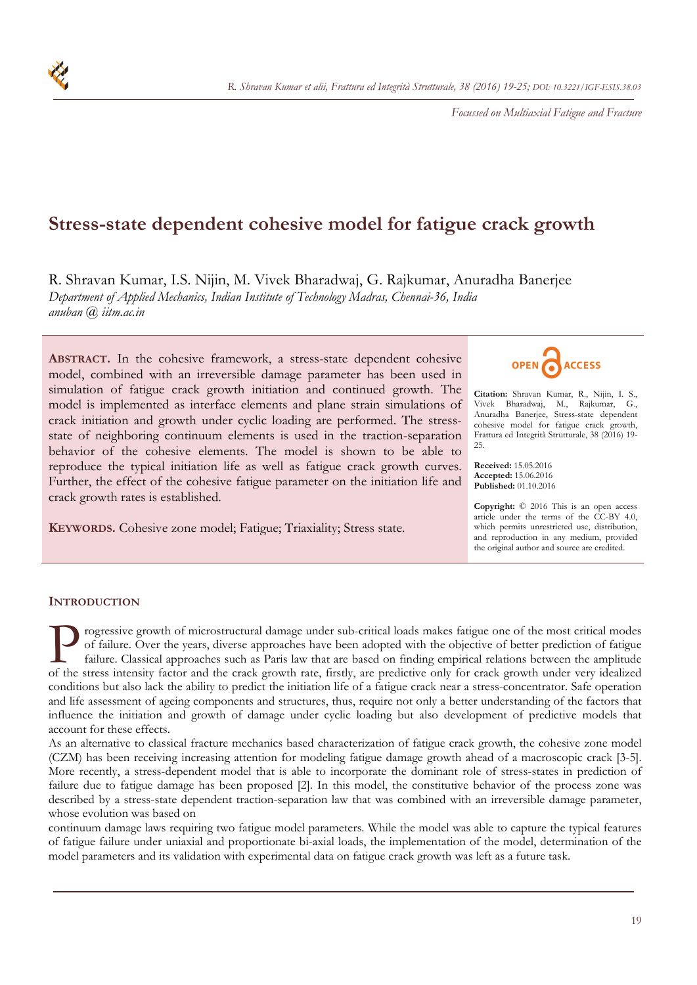*Focussed on Multiaxial Fatigue and Fracture* 

# **Stress-state dependent cohesive model for fatigue crack growth**

R. Shravan Kumar, I.S. Nijin, M. Vivek Bharadwaj, G. Rajkumar, Anuradha Banerjee *Department of Applied Mechanics, Indian Institute of Technology Madras, Chennai-36, India anuban @ iitm.ac.in* 

**ABSTRACT.** In the cohesive framework, a stress-state dependent cohesive model, combined with an irreversible damage parameter has been used in simulation of fatigue crack growth initiation and continued growth. The model is implemented as interface elements and plane strain simulations of crack initiation and growth under cyclic loading are performed. The stressstate of neighboring continuum elements is used in the traction-separation behavior of the cohesive elements. The model is shown to be able to reproduce the typical initiation life as well as fatigue crack growth curves. Further, the effect of the cohesive fatigue parameter on the initiation life and crack growth rates is established.

**KEYWORDS.** Cohesive zone model; Fatigue; Triaxiality; Stress state.



**Citation:** Shravan Kumar, R., Nijin, I. S., Vivek Bharadwaj, M., Rajkumar, G., Anuradha Banerjee, Stress-state dependent cohesive model for fatigue crack growth, Frattura ed Integrità Strutturale, 38 (2016) 19- 25.

**Received:** 15.05.2016 **Accepted:** 15.06.2016 **Published:** 01.10.2016

**Copyright:** © 2016 This is an open access article under the terms of the CC-BY 4.0, which permits unrestricted use, distribution, and reproduction in any medium, provided the original author and source are credited.

## **INTRODUCTION**

rogressive growth of microstructural damage under sub-critical loads makes fatigue one of the most critical modes of failure. Over the years, diverse approaches have been adopted with the objective of better prediction of fatigue failure. Classical approaches such as Paris law that are based on finding empirical relations between the amplitude Togressive growth of microstructural damage under sub-critical loads makes fatigue one of the most critical modes of failure. Over the years, diverse approaches have been adopted with the objective of better prediction of conditions but also lack the ability to predict the initiation life of a fatigue crack near a stress-concentrator. Safe operation and life assessment of ageing components and structures, thus, require not only a better understanding of the factors that influence the initiation and growth of damage under cyclic loading but also development of predictive models that account for these effects.

As an alternative to classical fracture mechanics based characterization of fatigue crack growth, the cohesive zone model (CZM) has been receiving increasing attention for modeling fatigue damage growth ahead of a macroscopic crack [3-5]. More recently, a stress-dependent model that is able to incorporate the dominant role of stress-states in prediction of failure due to fatigue damage has been proposed [2]. In this model, the constitutive behavior of the process zone was described by a stress-state dependent traction-separation law that was combined with an irreversible damage parameter, whose evolution was based on

continuum damage laws requiring two fatigue model parameters. While the model was able to capture the typical features of fatigue failure under uniaxial and proportionate bi-axial loads, the implementation of the model, determination of the model parameters and its validation with experimental data on fatigue crack growth was left as a future task.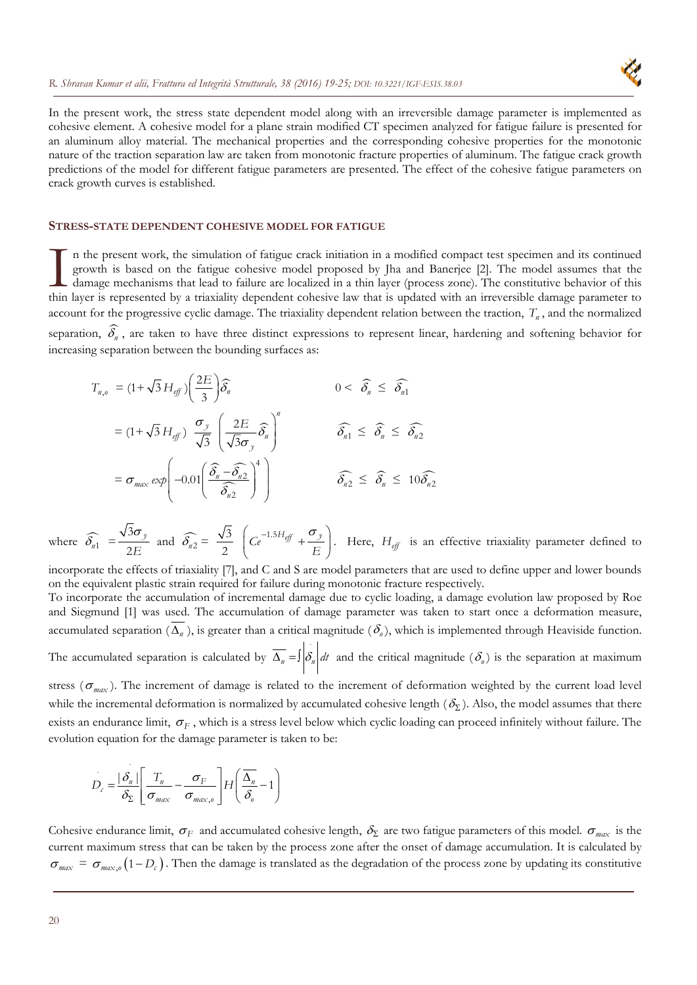

In the present work, the stress state dependent model along with an irreversible damage parameter is implemented as cohesive element. A cohesive model for a plane strain modified CT specimen analyzed for fatigue failure is presented for an aluminum alloy material. The mechanical properties and the corresponding cohesive properties for the monotonic nature of the traction separation law are taken from monotonic fracture properties of aluminum. The fatigue crack growth predictions of the model for different fatigue parameters are presented. The effect of the cohesive fatigue parameters on crack growth curves is established.

# **STRESS-STATE DEPENDENT COHESIVE MODEL FOR FATIGUE**

n the present work, the simulation of fatigue crack initiation in a modified compact test specimen and its continued growth is based on the fatigue cohesive model proposed by Jha and Banerjee [2]. The model assumes that the damage mechanisms that lead to failure are localized in a thin layer (process zone). The constitutive behavior of this In the present work, the simulation of fatigue crack initiation in a modified compact test specimen and its continued growth is based on the fatigue cohesive model proposed by Jha and Banerjee [2]. The model assumes that t account for the progressive cyclic damage. The triaxiality dependent relation between the traction,  $T_n$ , and the normalized separation,  $\widehat{\delta_n}$ , are taken to have three distinct expressions to represent linear, hardening and softening behavior for increasing separation between the bounding surfaces as:

$$
T_{n,o} = (1 + \sqrt{3} H_{eff}) \left(\frac{2E}{3}\right) \widehat{\delta}_n
$$
  
\n
$$
= (1 + \sqrt{3} H_{eff}) \left(\frac{\sigma_y}{\sqrt{3}}\right) \left(\frac{2E}{\sqrt{3}\sigma_y} \widehat{\delta}_n\right)^n
$$
  
\n
$$
= \sigma_{max} \exp\left(-0.01 \left(\frac{\widehat{\delta}_n - \widehat{\delta}_{n2}}{\widehat{\delta}_{n2}}\right)^4\right)
$$
  
\n
$$
\widehat{\delta}_{n2} \leq \widehat{\delta}_n \leq 10 \widehat{\delta}_{n2}
$$

where  $\widehat{\delta_{n1}} = \frac{\sqrt{30}}{2E}$ 3 2  $\frac{\sigma_y}{F}$  and  $\widehat{\delta_{n2}} = \frac{\sqrt{3}}{2}$ 2  $Ce^{-1.5H_{eff}} + \frac{\sigma_{j}}{R}$ *E*  $\left(Ce^{-1.5H_{eff}}+\frac{\sigma_y}{F}\right)$  $\begin{pmatrix} E \end{pmatrix}$ . Here, *Heff* is an effective triaxiality parameter defined to

incorporate the effects of triaxiality [7], and C and S are model parameters that are used to define upper and lower bounds on the equivalent plastic strain required for failure during monotonic fracture respectively.

To incorporate the accumulation of incremental damage due to cyclic loading, a damage evolution law proposed by Roe and Siegmund [1] was used. The accumulation of damage parameter was taken to start once a deformation measure, accumulated separation  $(\overline{\Delta_n})$ , is greater than a critical magnitude  $(\delta_o)$ , which is implemented through Heaviside function. The accumulated separation is calculated by  $\overline{\Delta_n} = \int \left|\delta_n\right| dt$  and the critical magnitude  $(\delta_o)$  is the separation at maximum stress ( $\sigma_{max}$ ). The increment of damage is related to the increment of deformation weighted by the current load level

while the incremental deformation is normalized by accumulated cohesive length  $(\delta_{\Sigma})$ . Also, the model assumes that there exists an endurance limit,  $\sigma_F$ , which is a stress level below which cyclic loading can proceed infinitely without failure. The evolution equation for the damage parameter is taken to be:

$$
D_c = \frac{|\delta_n|}{\delta_{\Sigma}} \left[ \frac{T_n}{\sigma_{max}} - \frac{\sigma_F}{\sigma_{max,o}} \right] H \left( \frac{\overline{\Delta_n}}{\delta_o} - 1 \right)
$$

Cohesive endurance limit,  $\sigma_F$  and accumulated cohesive length,  $\delta_\Sigma$  are two fatigue parameters of this model.  $\sigma_{max}$  is the current maximum stress that can be taken by the process zone after the onset of damage accumulation. It is calculated by  $\sigma_{max} = \sigma_{max,o}(1-D_e)$ . Then the damage is translated as the degradation of the process zone by updating its constitutive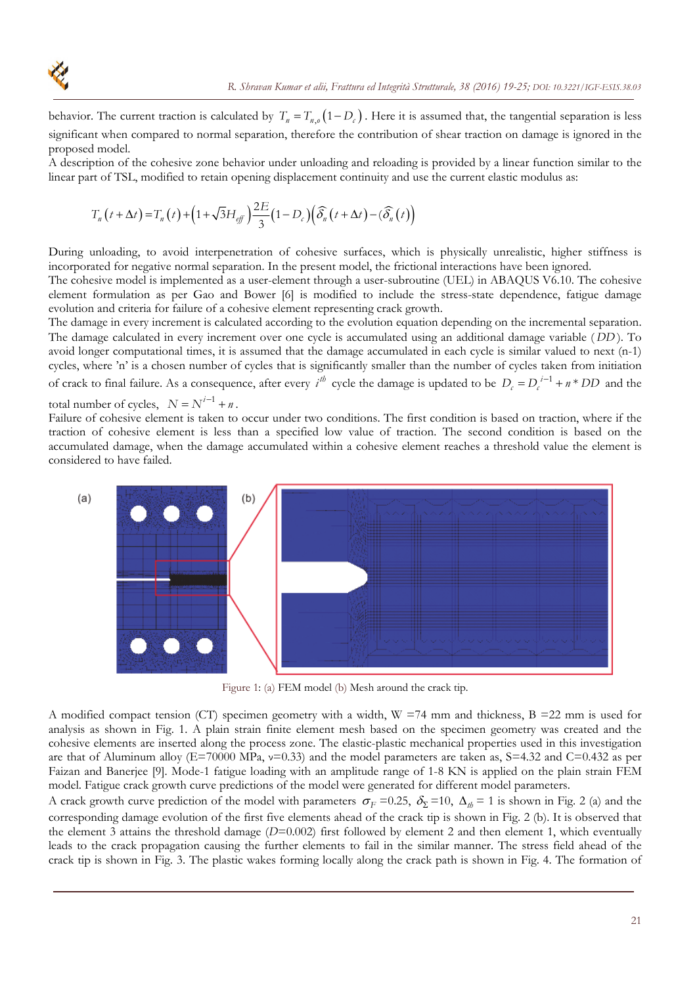

behavior. The current traction is calculated by  $T_n = T_{n,o}(1-D_c)$ . Here it is assumed that, the tangential separation is less significant when compared to normal separation, therefore the contribution of shear traction on damage is ignored in the proposed model.

A description of the cohesive zone behavior under unloading and reloading is provided by a linear function similar to the linear part of TSL, modified to retain opening displacement continuity and use the current elastic modulus as:

$$
T_n(t+\Delta t) = T_n(t) + \left(1 + \sqrt{3}H_{\text{eff}}\right)\frac{2E}{3}\left(1 - D_c\right)\left(\widehat{\delta_n}\left(t + \Delta t\right) - \left(\widehat{\delta_n}\left(t\right)\right)\right)
$$

During unloading, to avoid interpenetration of cohesive surfaces, which is physically unrealistic, higher stiffness is incorporated for negative normal separation. In the present model, the frictional interactions have been ignored.

The cohesive model is implemented as a user-element through a user-subroutine (UEL) in ABAQUS V6.10. The cohesive element formulation as per Gao and Bower [6] is modified to include the stress-state dependence, fatigue damage evolution and criteria for failure of a cohesive element representing crack growth.

The damage in every increment is calculated according to the evolution equation depending on the incremental separation. The damage calculated in every increment over one cycle is accumulated using an additional damage variable ( *DD* ). To avoid longer computational times, it is assumed that the damage accumulated in each cycle is similar valued to next (n-1) cycles, where 'n' is a chosen number of cycles that is significantly smaller than the number of cycles taken from initiation of crack to final failure. As a consequence, after every  $i^{th}$  cycle the damage is updated to be  $D_c = D_c^{i-1} + n * DD$  and the

total number of cycles,  $N = N^{i-1} + n$ .

Failure of cohesive element is taken to occur under two conditions. The first condition is based on traction, where if the traction of cohesive element is less than a specified low value of traction. The second condition is based on the accumulated damage, when the damage accumulated within a cohesive element reaches a threshold value the element is considered to have failed.



Figure 1: (a) FEM model (b) Mesh around the crack tip.

A modified compact tension (CT) specimen geometry with a width,  $W = 74$  mm and thickness,  $B = 22$  mm is used for analysis as shown in Fig. 1. A plain strain finite element mesh based on the specimen geometry was created and the cohesive elements are inserted along the process zone. The elastic-plastic mechanical properties used in this investigation are that of Aluminum alloy ( $E=70000$  MPa,  $v=0.33$ ) and the model parameters are taken as,  $S=4.32$  and  $C=0.432$  as per Faizan and Banerjee [9]. Mode-1 fatigue loading with an amplitude range of 1-8 KN is applied on the plain strain FEM model. Fatigue crack growth curve predictions of the model were generated for different model parameters.

A crack growth curve prediction of the model with parameters  $\sigma_F = 0.25$ ,  $\delta_{\Sigma} = 10$ ,  $\Delta_{th} = 1$  is shown in Fig. 2 (a) and the corresponding damage evolution of the first five elements ahead of the crack tip is shown in Fig. 2 (b). It is observed that the element 3 attains the threshold damage (*D*=0.002) first followed by element 2 and then element 1, which eventually leads to the crack propagation causing the further elements to fail in the similar manner. The stress field ahead of the crack tip is shown in Fig. 3. The plastic wakes forming locally along the crack path is shown in Fig. 4. The formation of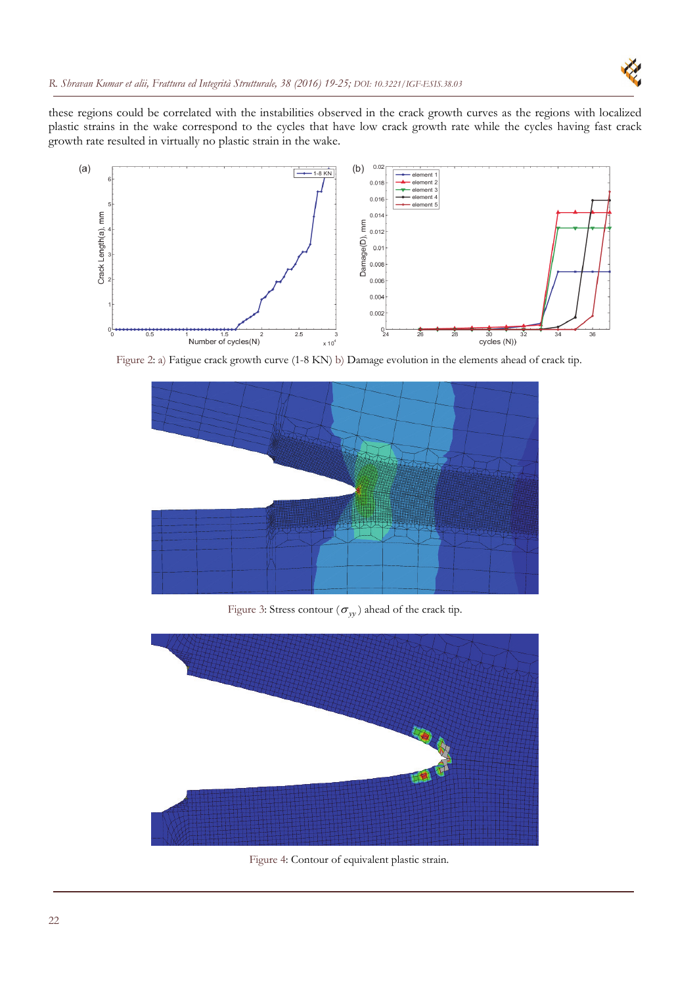

these regions could be correlated with the instabilities observed in the crack growth curves as the regions with localized plastic strains in the wake correspond to the cycles that have low crack growth rate while the cycles having fast crack growth rate resulted in virtually no plastic strain in the wake.



Figure 2: a) Fatigue crack growth curve (1-8 KN) b) Damage evolution in the elements ahead of crack tip.



Figure 3: Stress contour ( $\sigma_{yy}$ ) ahead of the crack tip.



Figure 4: Contour of equivalent plastic strain.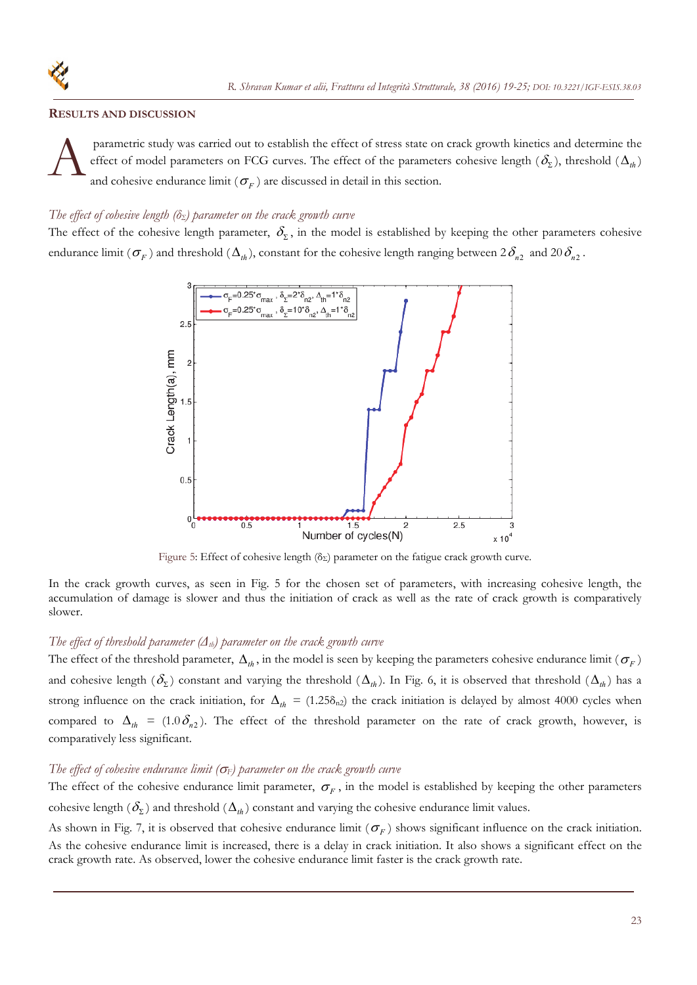#### **RESULTS AND DISCUSSION**

 parametric study was carried out to establish the effect of stress state on crack growth kinetics and determine the effect of model parameters on FCG curves. The effect of the parameters cohesive length  $(\delta_{\Sigma})$ , threshold  $(\Delta_{th})$ and cohesive endurance limit ( $\sigma_F$ ) are discussed in detail in this section.  $\mathbf{A}^{\tiny \textrm{pr}}_{\tiny \textrm{an}}$ 

#### *The effect of cohesive length (* $\delta$ *<sub>Σ</sub>) parameter on the crack growth curve*

The effect of the cohesive length parameter,  $\delta_{\Sigma}$ , in the model is established by keeping the other parameters cohesive endurance limit ( $\sigma_F$ ) and threshold ( $\Delta_{th}$ ), constant for the cohesive length ranging between  $2\delta_{n2}$  and  $20\delta_{n2}$ .



Figure 5: Effect of cohesive length ( $\delta_{\Sigma}$ ) parameter on the fatigue crack growth curve.

In the crack growth curves, as seen in Fig. 5 for the chosen set of parameters, with increasing cohesive length, the accumulation of damage is slower and thus the initiation of crack as well as the rate of crack growth is comparatively slower.

# *The effect of threshold parameter (Δth) parameter on the crack growth curve*

The effect of the threshold parameter,  $\Delta_{th}$ , in the model is seen by keeping the parameters cohesive endurance limit ( $\sigma_F$ ) and cohesive length  $(\delta_{\Sigma})$  constant and varying the threshold  $(\Delta_{th})$ . In Fig. 6, it is observed that threshold  $(\Delta_{th})$  has a strong influence on the crack initiation, for  $\Delta_{th} = (1.25\delta_{n2})$  the crack initiation is delayed by almost 4000 cycles when compared to  $\Delta_{th} = (1.0 \delta_{n2})$ . The effect of the threshold parameter on the rate of crack growth, however, is comparatively less significant.

#### The effect of cohesive endurance limit  $(\sigma_F)$  parameter on the crack growth curve

The effect of the cohesive endurance limit parameter,  $\sigma_F$ , in the model is established by keeping the other parameters cohesive length  $(\delta_{\Sigma})$  and threshold  $(\Delta_h)$  constant and varying the cohesive endurance limit values.

As shown in Fig. 7, it is observed that cohesive endurance limit  $(\sigma_F)$  shows significant influence on the crack initiation. As the cohesive endurance limit is increased, there is a delay in crack initiation. It also shows a significant effect on the crack growth rate. As observed, lower the cohesive endurance limit faster is the crack growth rate.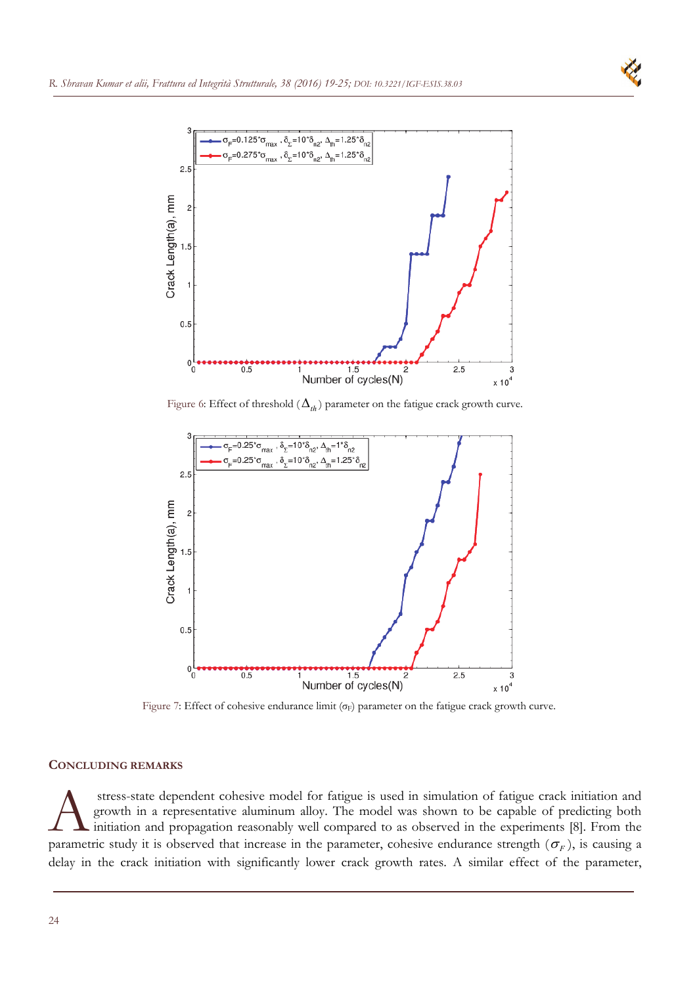



Figure 6: Effect of threshold  $(\Delta_{th})$  parameter on the fatigue crack growth curve.



Figure 7: Effect of cohesive endurance limit  $(\sigma_F)$  parameter on the fatigue crack growth curve.

# **CONCLUDING REMARKS**

 stress-state dependent cohesive model for fatigue is used in simulation of fatigue crack initiation and growth in a representative aluminum alloy. The model was shown to be capable of predicting both initiation and propagation reasonably well compared to as observed in the experiments [8]. From the stress-state dependent cohesive model for fatigue is used in simulation of fatigue crack initiation and growth in a representative aluminum alloy. The model was shown to be capable of predicting both initiation and propag delay in the crack initiation with significantly lower crack growth rates. A similar effect of the parameter,